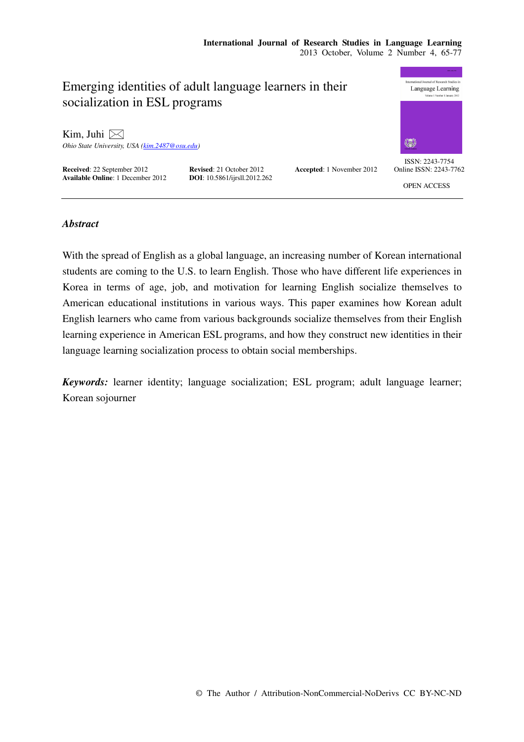## nal Journal of Research Studies Emerging identities of adult language learners in their Language Learning socialization in ESL programs Kim, Juhi  $\boxtimes$ *Ohio State University, USA (kim.2487@osu.edu)*  ISSN: 2243-7754 **Received: 22 September 2012 Revised: 21 October 2012 Accepted: 1 November 2012 Available Online: 1 December 2012 DOI:** 10.5861/ijrsll.2012.262 Online ISSN: 2243-7762 **Available Online: 1 December 2012** OPEN ACCESS

## *Abstract*

With the spread of English as a global language, an increasing number of Korean international students are coming to the U.S. to learn English. Those who have different life experiences in Korea in terms of age, job, and motivation for learning English socialize themselves to American educational institutions in various ways. This paper examines how Korean adult English learners who came from various backgrounds socialize themselves from their English learning experience in American ESL programs, and how they construct new identities in their language learning socialization process to obtain social memberships.

*Keywords:* learner identity; language socialization; ESL program; adult language learner; Korean sojourner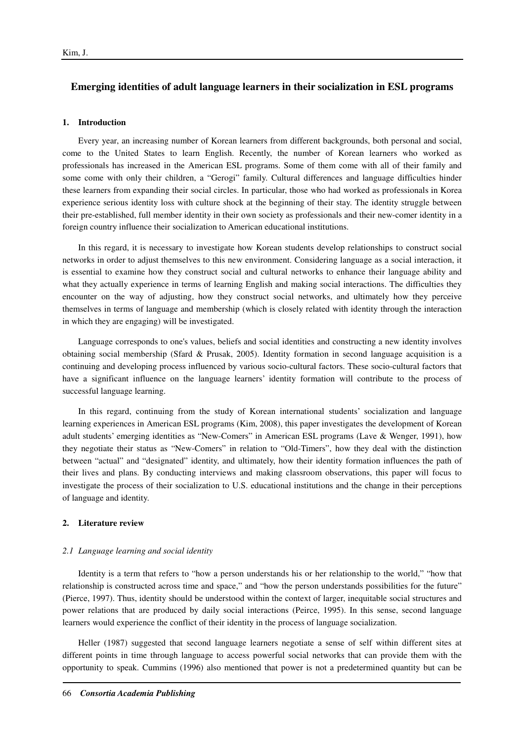## **Emerging identities of adult language learners in their socialization in ESL programs**

### **1. Introduction**

Every year, an increasing number of Korean learners from different backgrounds, both personal and social, come to the United States to learn English. Recently, the number of Korean learners who worked as professionals has increased in the American ESL programs. Some of them come with all of their family and some come with only their children, a "Gerogi" family. Cultural differences and language difficulties hinder these learners from expanding their social circles. In particular, those who had worked as professionals in Korea experience serious identity loss with culture shock at the beginning of their stay. The identity struggle between their pre-established, full member identity in their own society as professionals and their new-comer identity in a foreign country influence their socialization to American educational institutions.

In this regard, it is necessary to investigate how Korean students develop relationships to construct social networks in order to adjust themselves to this new environment. Considering language as a social interaction, it is essential to examine how they construct social and cultural networks to enhance their language ability and what they actually experience in terms of learning English and making social interactions. The difficulties they encounter on the way of adjusting, how they construct social networks, and ultimately how they perceive themselves in terms of language and membership (which is closely related with identity through the interaction in which they are engaging) will be investigated.

Language corresponds to one's values, beliefs and social identities and constructing a new identity involves obtaining social membership (Sfard & Prusak, 2005). Identity formation in second language acquisition is a continuing and developing process influenced by various socio-cultural factors. These socio-cultural factors that have a significant influence on the language learners' identity formation will contribute to the process of successful language learning.

In this regard, continuing from the study of Korean international students' socialization and language learning experiences in American ESL programs (Kim, 2008), this paper investigates the development of Korean adult students' emerging identities as "New-Comers" in American ESL programs (Lave & Wenger, 1991), how they negotiate their status as "New-Comers" in relation to "Old-Timers", how they deal with the distinction between "actual" and "designated" identity, and ultimately, how their identity formation influences the path of their lives and plans. By conducting interviews and making classroom observations, this paper will focus to investigate the process of their socialization to U.S. educational institutions and the change in their perceptions of language and identity.

### **2. Literature review**

#### *2.1 Language learning and social identity*

Identity is a term that refers to "how a person understands his or her relationship to the world," "how that relationship is constructed across time and space," and "how the person understands possibilities for the future" (Pierce, 1997). Thus, identity should be understood within the context of larger, inequitable social structures and power relations that are produced by daily social interactions (Peirce, 1995). In this sense, second language learners would experience the conflict of their identity in the process of language socialization.

Heller (1987) suggested that second language learners negotiate a sense of self within different sites at different points in time through language to access powerful social networks that can provide them with the opportunity to speak. Cummins (1996) also mentioned that power is not a predetermined quantity but can be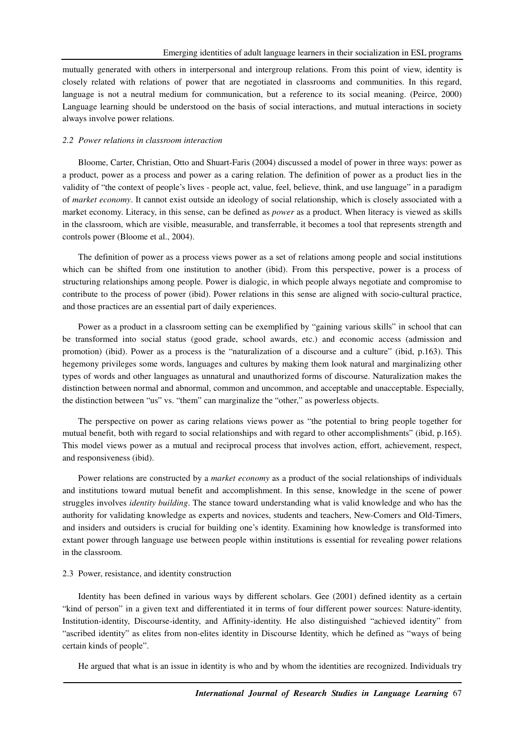mutually generated with others in interpersonal and intergroup relations. From this point of view, identity is closely related with relations of power that are negotiated in classrooms and communities. In this regard, language is not a neutral medium for communication, but a reference to its social meaning. (Peirce, 2000) Language learning should be understood on the basis of social interactions, and mutual interactions in society always involve power relations.

#### *2.2 Power relations in classroom interaction*

Bloome, Carter, Christian, Otto and Shuart-Faris (2004) discussed a model of power in three ways: power as a product, power as a process and power as a caring relation. The definition of power as a product lies in the validity of "the context of people's lives - people act, value, feel, believe, think, and use language" in a paradigm of *market economy*. It cannot exist outside an ideology of social relationship, which is closely associated with a market economy. Literacy, in this sense, can be defined as *power* as a product. When literacy is viewed as skills in the classroom, which are visible, measurable, and transferrable, it becomes a tool that represents strength and controls power (Bloome et al., 2004).

The definition of power as a process views power as a set of relations among people and social institutions which can be shifted from one institution to another (ibid). From this perspective, power is a process of structuring relationships among people. Power is dialogic, in which people always negotiate and compromise to contribute to the process of power (ibid). Power relations in this sense are aligned with socio-cultural practice, and those practices are an essential part of daily experiences.

Power as a product in a classroom setting can be exemplified by "gaining various skills" in school that can be transformed into social status (good grade, school awards, etc.) and economic access (admission and promotion) (ibid). Power as a process is the "naturalization of a discourse and a culture" (ibid, p.163). This hegemony privileges some words, languages and cultures by making them look natural and marginalizing other types of words and other languages as unnatural and unauthorized forms of discourse. Naturalization makes the distinction between normal and abnormal, common and uncommon, and acceptable and unacceptable. Especially, the distinction between "us" vs. "them" can marginalize the "other," as powerless objects.

The perspective on power as caring relations views power as "the potential to bring people together for mutual benefit, both with regard to social relationships and with regard to other accomplishments" (ibid, p.165). This model views power as a mutual and reciprocal process that involves action, effort, achievement, respect, and responsiveness (ibid).

Power relations are constructed by a *market economy* as a product of the social relationships of individuals and institutions toward mutual benefit and accomplishment. In this sense, knowledge in the scene of power struggles involves *identity building*. The stance toward understanding what is valid knowledge and who has the authority for validating knowledge as experts and novices, students and teachers, New-Comers and Old-Timers, and insiders and outsiders is crucial for building one's identity. Examining how knowledge is transformed into extant power through language use between people within institutions is essential for revealing power relations in the classroom.

### 2.3 Power, resistance, and identity construction

Identity has been defined in various ways by different scholars. Gee (2001) defined identity as a certain "kind of person" in a given text and differentiated it in terms of four different power sources: Nature-identity, Institution-identity, Discourse-identity, and Affinity-identity. He also distinguished "achieved identity" from "ascribed identity" as elites from non-elites identity in Discourse Identity, which he defined as "ways of being certain kinds of people".

He argued that what is an issue in identity is who and by whom the identities are recognized. Individuals try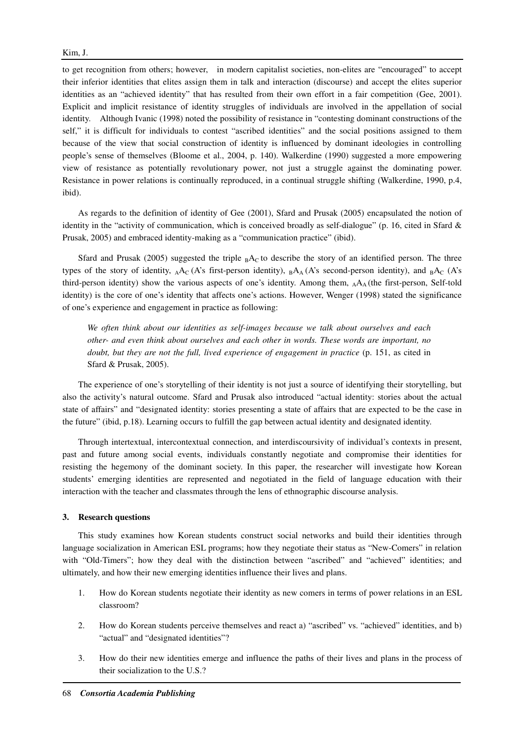to get recognition from others; however, in modern capitalist societies, non-elites are "encouraged" to accept their inferior identities that elites assign them in talk and interaction (discourse) and accept the elites superior identities as an "achieved identity" that has resulted from their own effort in a fair competition (Gee, 2001). Explicit and implicit resistance of identity struggles of individuals are involved in the appellation of social identity. Although Ivanic (1998) noted the possibility of resistance in "contesting dominant constructions of the self," it is difficult for individuals to contest "ascribed identities" and the social positions assigned to them because of the view that social construction of identity is influenced by dominant ideologies in controlling people's sense of themselves (Bloome et al., 2004, p. 140). Walkerdine (1990) suggested a more empowering view of resistance as potentially revolutionary power, not just a struggle against the dominating power. Resistance in power relations is continually reproduced, in a continual struggle shifting (Walkerdine, 1990, p.4, ibid).

As regards to the definition of identity of Gee (2001), Sfard and Prusak (2005) encapsulated the notion of identity in the "activity of communication, which is conceived broadly as self-dialogue" (p. 16, cited in Sfard & Prusak, 2005) and embraced identity-making as a "communication practice" (ibid).

Sfard and Prusak (2005) suggested the triple  $_{\rm B}$ A<sub>C</sub> to describe the story of an identified person. The three types of the story of identity,  $_A A_C (A's$  first-person identity),  $_B A_A (A's$  second-person identity), and  $_B A_C (A's$ third-person identity) show the various aspects of one's identity. Among them, AAA (the first-person, Self-told identity) is the core of one's identity that affects one's actions. However, Wenger (1998) stated the significance of one's experience and engagement in practice as following:

*We often think about our identities as self-images because we talk about ourselves and each other- and even think about ourselves and each other in words. These words are important, no*  doubt, but they are not the full, lived experience of engagement in practice (p. 151, as cited in Sfard & Prusak, 2005).

The experience of one's storytelling of their identity is not just a source of identifying their storytelling, but also the activity's natural outcome. Sfard and Prusak also introduced "actual identity: stories about the actual state of affairs" and "designated identity: stories presenting a state of affairs that are expected to be the case in the future" (ibid, p.18). Learning occurs to fulfill the gap between actual identity and designated identity.

Through intertextual, intercontextual connection, and interdiscoursivity of individual's contexts in present, past and future among social events, individuals constantly negotiate and compromise their identities for resisting the hegemony of the dominant society. In this paper, the researcher will investigate how Korean students' emerging identities are represented and negotiated in the field of language education with their interaction with the teacher and classmates through the lens of ethnographic discourse analysis.

### **3. Research questions**

This study examines how Korean students construct social networks and build their identities through language socialization in American ESL programs; how they negotiate their status as "New-Comers" in relation with "Old-Timers"; how they deal with the distinction between "ascribed" and "achieved" identities; and ultimately, and how their new emerging identities influence their lives and plans.

- 1. How do Korean students negotiate their identity as new comers in terms of power relations in an ESL classroom?
- 2. How do Korean students perceive themselves and react a) "ascribed" vs. "achieved" identities, and b) "actual" and "designated identities"?
- 3. How do their new identities emerge and influence the paths of their lives and plans in the process of their socialization to the U.S.?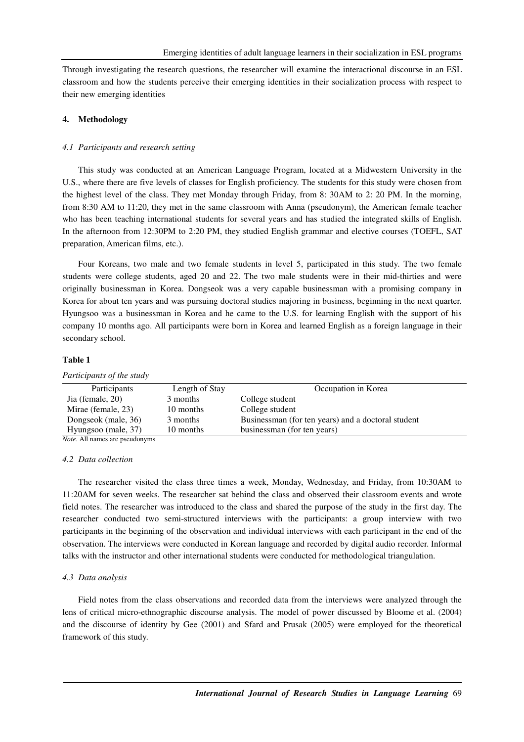Through investigating the research questions, the researcher will examine the interactional discourse in an ESL classroom and how the students perceive their emerging identities in their socialization process with respect to their new emerging identities

### **4. Methodology**

### *4.1 Participants and research setting*

This study was conducted at an American Language Program, located at a Midwestern University in the U.S., where there are five levels of classes for English proficiency. The students for this study were chosen from the highest level of the class. They met Monday through Friday, from 8: 30AM to 2: 20 PM. In the morning, from 8:30 AM to 11:20, they met in the same classroom with Anna (pseudonym), the American female teacher who has been teaching international students for several years and has studied the integrated skills of English. In the afternoon from 12:30PM to 2:20 PM, they studied English grammar and elective courses (TOEFL, SAT preparation, American films, etc.).

Four Koreans, two male and two female students in level 5, participated in this study. The two female students were college students, aged 20 and 22. The two male students were in their mid-thirties and were originally businessman in Korea. Dongseok was a very capable businessman with a promising company in Korea for about ten years and was pursuing doctoral studies majoring in business, beginning in the next quarter. Hyungsoo was a businessman in Korea and he came to the U.S. for learning English with the support of his company 10 months ago. All participants were born in Korea and learned English as a foreign language in their secondary school.

### **Table 1**

| Participants                          | Length of Stay | Occupation in Korea                                |
|---------------------------------------|----------------|----------------------------------------------------|
| Jia (female, 20)                      | 3 months       | College student                                    |
| Mirae (female, 23)                    | 10 months      | College student                                    |
| Dongseok (male, 36)                   | 3 months       | Businessman (for ten years) and a doctoral student |
| Hyungsoo (male, 37)                   | 10 months      | businessman (for ten years)                        |
| <i>Note.</i> All names are pseudonyms |                |                                                    |

*Participants of the study* 

### *4.2 Data collection*

The researcher visited the class three times a week, Monday, Wednesday, and Friday, from 10:30AM to 11:20AM for seven weeks. The researcher sat behind the class and observed their classroom events and wrote field notes. The researcher was introduced to the class and shared the purpose of the study in the first day. The researcher conducted two semi-structured interviews with the participants: a group interview with two participants in the beginning of the observation and individual interviews with each participant in the end of the observation. The interviews were conducted in Korean language and recorded by digital audio recorder. Informal talks with the instructor and other international students were conducted for methodological triangulation.

### *4.3 Data analysis*

Field notes from the class observations and recorded data from the interviews were analyzed through the lens of critical micro-ethnographic discourse analysis. The model of power discussed by Bloome et al. (2004) and the discourse of identity by Gee (2001) and Sfard and Prusak (2005) were employed for the theoretical framework of this study.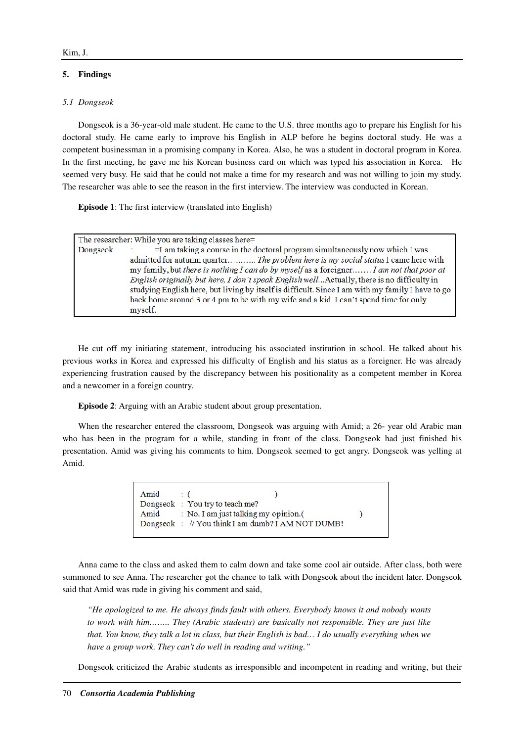### **5. Findings**

### *5.1 Dongseok*

Dongseok is a 36-year-old male student. He came to the U.S. three months ago to prepare his English for his doctoral study. He came early to improve his English in ALP before he begins doctoral study. He was a competent businessman in a promising company in Korea. Also, he was a student in doctoral program in Korea. In the first meeting, he gave me his Korean business card on which was typed his association in Korea. He seemed very busy. He said that he could not make a time for my research and was not willing to join my study. The researcher was able to see the reason in the first interview. The interview was conducted in Korean.

**Episode 1**: The first interview (translated into English)

| The researcher: While you are taking classes here=                                                                                                                                                                                                                                                                                                                                                                                                                 |
|--------------------------------------------------------------------------------------------------------------------------------------------------------------------------------------------------------------------------------------------------------------------------------------------------------------------------------------------------------------------------------------------------------------------------------------------------------------------|
| $=$ I am taking a course in the doctoral program simultaneously now which I was<br>admitted for autumn quarter The problem here is my social status I came here with<br>my family, but there is nothing I can do by myself as a foreigner I am not that poor at<br>English originally but here, I don't speak English well Actually, there is no difficulty in<br>studying English here, but living by itself is difficult. Since I am with my family I have to go |
| back home around 3 or 4 pm to be with my wife and a kid. I can't spend time for only<br>myself.                                                                                                                                                                                                                                                                                                                                                                    |
|                                                                                                                                                                                                                                                                                                                                                                                                                                                                    |

He cut off my initiating statement, introducing his associated institution in school. He talked about his previous works in Korea and expressed his difficulty of English and his status as a foreigner. He was already experiencing frustration caused by the discrepancy between his positionality as a competent member in Korea and a newcomer in a foreign country.

**Episode 2**: Arguing with an Arabic student about group presentation.

When the researcher entered the classroom, Dongseok was arguing with Amid; a 26- year old Arabic man who has been in the program for a while, standing in front of the class. Dongseok had just finished his presentation. Amid was giving his comments to him. Dongseok seemed to get angry. Dongseok was yelling at Amid.

| Amid : ( | Dongseok : You try to teach me?                   |  |
|----------|---------------------------------------------------|--|
|          | Amid : No. I am just talking my opinion.          |  |
|          | Dongseok : // You think I am dumb? I AM NOT DUMB! |  |

Anna came to the class and asked them to calm down and take some cool air outside. After class, both were summoned to see Anna. The researcher got the chance to talk with Dongseok about the incident later. Dongseok said that Amid was rude in giving his comment and said,

*"He apologized to me. He always finds fault with others. Everybody knows it and nobody wants to work with him…….. They (Arabic students) are basically not responsible. They are just like that. You know, they talk a lot in class, but their English is bad… I do usually everything when we have a group work. They can't do well in reading and writing."* 

Dongseok criticized the Arabic students as irresponsible and incompetent in reading and writing, but their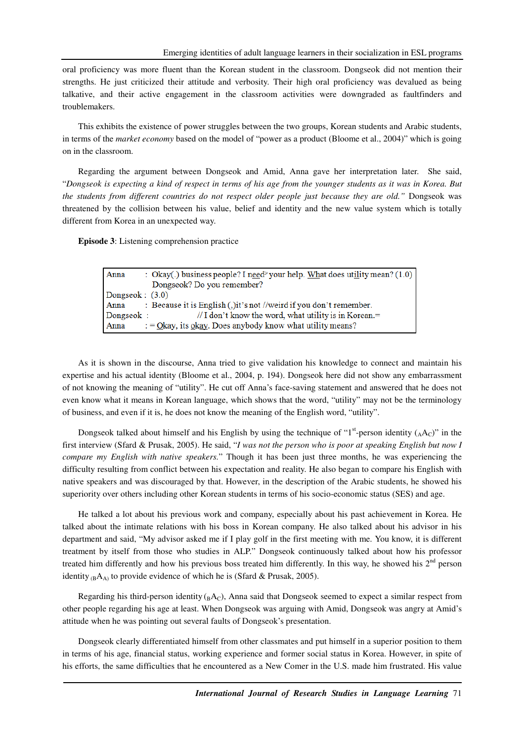oral proficiency was more fluent than the Korean student in the classroom. Dongseok did not mention their strengths. He just criticized their attitude and verbosity. Their high oral proficiency was devalued as being talkative, and their active engagement in the classroom activities were downgraded as faultfinders and troublemakers.

This exhibits the existence of power struggles between the two groups, Korean students and Arabic students, in terms of the *market economy* based on the model of "power as a product (Bloome et al., 2004)" which is going on in the classroom.

Regarding the argument between Dongseok and Amid, Anna gave her interpretation later. She said, "*Dongseok is expecting a kind of respect in terms of his age from the younger students as it was in Korea. But the students from different countries do not respect older people just because they are old."* Dongseok was threatened by the collision between his value, belief and identity and the new value system which is totally different from Korea in an unexpected way.

**Episode 3**: Listening comprehension practice

| Anna              | : Okay(.) business people? I need spour help. What does utility mean? $(1.0)$ |
|-------------------|-------------------------------------------------------------------------------|
|                   | Dongseok? Do you remember?                                                    |
| Dongseok: $(3.0)$ |                                                                               |
| Anna              | : Because it is English (,) it's not //weird if you don't remember.           |
| Dongseok :        | $\frac{1}{1}$ I don't know the word, what utility is in Korean.=              |
| Anna              | $\therefore$ = Okay, its okay. Does anybody know what utility means?          |

As it is shown in the discourse, Anna tried to give validation his knowledge to connect and maintain his expertise and his actual identity (Bloome et al., 2004, p. 194). Dongseok here did not show any embarrassment of not knowing the meaning of "utility". He cut off Anna's face-saving statement and answered that he does not even know what it means in Korean language, which shows that the word, "utility" may not be the terminology of business, and even if it is, he does not know the meaning of the English word, "utility".

Dongseok talked about himself and his English by using the technique of "1<sup>st</sup>-person identity ( $_A$ A<sub>C</sub>)" in the first interview (Sfard & Prusak, 2005). He said, "*I was not the person who is poor at speaking English but now I compare my English with native speakers.*" Though it has been just three months, he was experiencing the difficulty resulting from conflict between his expectation and reality. He also began to compare his English with native speakers and was discouraged by that. However, in the description of the Arabic students, he showed his superiority over others including other Korean students in terms of his socio-economic status (SES) and age.

He talked a lot about his previous work and company, especially about his past achievement in Korea. He talked about the intimate relations with his boss in Korean company. He also talked about his advisor in his department and said, "My advisor asked me if I play golf in the first meeting with me. You know, it is different treatment by itself from those who studies in ALP." Dongseok continuously talked about how his professor treated him differently and how his previous boss treated him differently. In this way, he showed his 2<sup>nd</sup> person identity  $_{(B}A_{A)}$  to provide evidence of which he is (Sfard & Prusak, 2005).

Regarding his third-person identity  $_{B}A_{C}$ ), Anna said that Dongseok seemed to expect a similar respect from other people regarding his age at least. When Dongseok was arguing with Amid, Dongseok was angry at Amid's attitude when he was pointing out several faults of Dongseok's presentation.

Dongseok clearly differentiated himself from other classmates and put himself in a superior position to them in terms of his age, financial status, working experience and former social status in Korea. However, in spite of his efforts, the same difficulties that he encountered as a New Comer in the U.S. made him frustrated. His value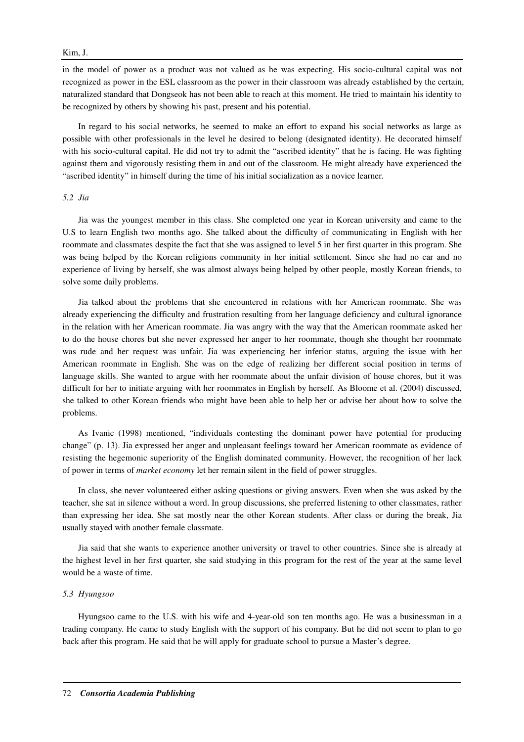### Kim, J.

in the model of power as a product was not valued as he was expecting. His socio-cultural capital was not recognized as power in the ESL classroom as the power in their classroom was already established by the certain, naturalized standard that Dongseok has not been able to reach at this moment. He tried to maintain his identity to be recognized by others by showing his past, present and his potential.

In regard to his social networks, he seemed to make an effort to expand his social networks as large as possible with other professionals in the level he desired to belong (designated identity). He decorated himself with his socio-cultural capital. He did not try to admit the "ascribed identity" that he is facing. He was fighting against them and vigorously resisting them in and out of the classroom. He might already have experienced the "ascribed identity" in himself during the time of his initial socialization as a novice learner.

#### *5.2 Jia*

Jia was the youngest member in this class. She completed one year in Korean university and came to the U.S to learn English two months ago. She talked about the difficulty of communicating in English with her roommate and classmates despite the fact that she was assigned to level 5 in her first quarter in this program. She was being helped by the Korean religions community in her initial settlement. Since she had no car and no experience of living by herself, she was almost always being helped by other people, mostly Korean friends, to solve some daily problems.

Jia talked about the problems that she encountered in relations with her American roommate. She was already experiencing the difficulty and frustration resulting from her language deficiency and cultural ignorance in the relation with her American roommate. Jia was angry with the way that the American roommate asked her to do the house chores but she never expressed her anger to her roommate, though she thought her roommate was rude and her request was unfair. Jia was experiencing her inferior status, arguing the issue with her American roommate in English. She was on the edge of realizing her different social position in terms of language skills. She wanted to argue with her roommate about the unfair division of house chores, but it was difficult for her to initiate arguing with her roommates in English by herself. As Bloome et al. (2004) discussed, she talked to other Korean friends who might have been able to help her or advise her about how to solve the problems.

As Ivanic (1998) mentioned, "individuals contesting the dominant power have potential for producing change" (p. 13). Jia expressed her anger and unpleasant feelings toward her American roommate as evidence of resisting the hegemonic superiority of the English dominated community. However, the recognition of her lack of power in terms of *market economy* let her remain silent in the field of power struggles.

In class, she never volunteered either asking questions or giving answers. Even when she was asked by the teacher, she sat in silence without a word. In group discussions, she preferred listening to other classmates, rather than expressing her idea. She sat mostly near the other Korean students. After class or during the break, Jia usually stayed with another female classmate.

Jia said that she wants to experience another university or travel to other countries. Since she is already at the highest level in her first quarter, she said studying in this program for the rest of the year at the same level would be a waste of time.

### *5.3 Hyungsoo*

Hyungsoo came to the U.S. with his wife and 4-year-old son ten months ago. He was a businessman in a trading company. He came to study English with the support of his company. But he did not seem to plan to go back after this program. He said that he will apply for graduate school to pursue a Master's degree.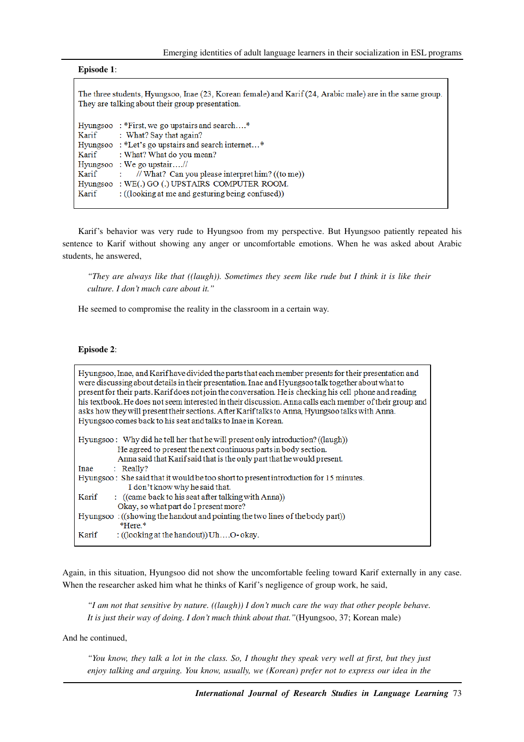| <b>Episode 1:</b>                                                                                                                                             |
|---------------------------------------------------------------------------------------------------------------------------------------------------------------|
| The three students, Hyungsoo, Inae (23, Korean female) and Karif (24, Arabic male) are in the same group.<br>They are talking about their group presentation. |
| Hyungsoo: *First, we go upstairs and search*                                                                                                                  |
| Karif<br>: What? Say that again?                                                                                                                              |
| Hyungsoo: *Let's go upstairs and search internet*                                                                                                             |
| Karif<br>: What? What do you mean?                                                                                                                            |
| Hyungsoo : We go upstair//                                                                                                                                    |
| Karif<br>// What? Can you please interpret him? $((to me))$<br>t.                                                                                             |
| Hyungsoo: WE(.) GO (.) UPSTAIRS COMPUTER ROOM.                                                                                                                |
| Karif<br>: ((looking at me and gesturing being confused))                                                                                                     |

Karif's behavior was very rude to Hyungsoo from my perspective. But Hyungsoo patiently repeated his sentence to Karif without showing any anger or uncomfortable emotions. When he was asked about Arabic students, he answered,

*"They are always like that ((laugh)). Sometimes they seem like rude but I think it is like their culture. I don't much care about it."* 

He seemed to compromise the reality in the classroom in a certain way.

### **Episode 2**:

| Hyungsoo, Inae, and Karif have divided the parts that each member presents for their presentation and<br>were discussing about details in their presentation. Inae and Hyungsoo talk together about what to<br>present for their parts. Karif does not join the conversation. He is checking his cell phone and reading<br>his textbook. He does not seem interested in their discussion. Anna calls each member of their group and<br>asks how they will present their sections. After Karif talks to Anna, Hyungsoo talks with Anna.<br>Hyungsoo comes back to his seat and talks to Inae in Korean. |  |
|--------------------------------------------------------------------------------------------------------------------------------------------------------------------------------------------------------------------------------------------------------------------------------------------------------------------------------------------------------------------------------------------------------------------------------------------------------------------------------------------------------------------------------------------------------------------------------------------------------|--|
| Hyungsoo: Why did he tell her that he will present only introduction? ((laugh))                                                                                                                                                                                                                                                                                                                                                                                                                                                                                                                        |  |
| He agreed to present the next continuous parts in body section.                                                                                                                                                                                                                                                                                                                                                                                                                                                                                                                                        |  |
| Anna said that Karif said that is the only part that he would present.                                                                                                                                                                                                                                                                                                                                                                                                                                                                                                                                 |  |
| $:$ Really?<br>Inae                                                                                                                                                                                                                                                                                                                                                                                                                                                                                                                                                                                    |  |
| Hyungsoo: She said that it would be too short to present introduction for 15 minutes.                                                                                                                                                                                                                                                                                                                                                                                                                                                                                                                  |  |
| I don't know why he said that.                                                                                                                                                                                                                                                                                                                                                                                                                                                                                                                                                                         |  |
| : ((came back to his seat after talking with Anna))<br>Karif                                                                                                                                                                                                                                                                                                                                                                                                                                                                                                                                           |  |
| Okay, so what part do I present more?                                                                                                                                                                                                                                                                                                                                                                                                                                                                                                                                                                  |  |
| Hyungsoo: ((showing the handout and pointing the two lines of the body part))                                                                                                                                                                                                                                                                                                                                                                                                                                                                                                                          |  |
| *Here.*                                                                                                                                                                                                                                                                                                                                                                                                                                                                                                                                                                                                |  |
| Karif<br>: ((looking at the handout)) $Uh$ $O$ - okay.                                                                                                                                                                                                                                                                                                                                                                                                                                                                                                                                                 |  |
|                                                                                                                                                                                                                                                                                                                                                                                                                                                                                                                                                                                                        |  |

Again, in this situation, Hyungsoo did not show the uncomfortable feeling toward Karif externally in any case. When the researcher asked him what he thinks of Karif's negligence of group work, he said,

*"I am not that sensitive by nature. ((laugh)) I don't much care the way that other people behave. It is just their way of doing. I don't much think about that."*(Hyungsoo, 37; Korean male)

And he continued,

*"You know, they talk a lot in the class. So, I thought they speak very well at first, but they just enjoy talking and arguing. You know, usually, we (Korean) prefer not to express our idea in the*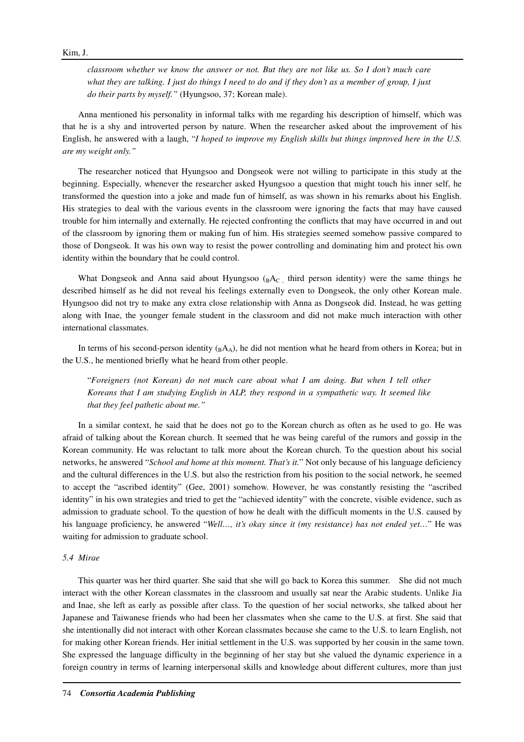### Kim, J.

*classroom whether we know the answer or not. But they are not like us. So I don't much care what they are talking. I just do things I need to do and if they don't as a member of group, I just do their parts by myself."* (Hyungsoo, 37; Korean male).

Anna mentioned his personality in informal talks with me regarding his description of himself, which was that he is a shy and introverted person by nature. When the researcher asked about the improvement of his English, he answered with a laugh, "*I hoped to improve my English skills but things improved here in the U.S. are my weight only."*

The researcher noticed that Hyungsoo and Dongseok were not willing to participate in this study at the beginning. Especially, whenever the researcher asked Hyungsoo a question that might touch his inner self, he transformed the question into a joke and made fun of himself, as was shown in his remarks about his English. His strategies to deal with the various events in the classroom were ignoring the facts that may have caused trouble for him internally and externally. He rejected confronting the conflicts that may have occurred in and out of the classroom by ignoring them or making fun of him. His strategies seemed somehow passive compared to those of Dongseok. It was his own way to resist the power controlling and dominating him and protect his own identity within the boundary that he could control.

What Dongseok and Anna said about Hyungsoo  $_{BAC}$ , third person identity) were the same things he described himself as he did not reveal his feelings externally even to Dongseok, the only other Korean male. Hyungsoo did not try to make any extra close relationship with Anna as Dongseok did. Instead, he was getting along with Inae, the younger female student in the classroom and did not make much interaction with other international classmates.

In terms of his second-person identity  $({}_B A_A)$ , he did not mention what he heard from others in Korea; but in the U.S., he mentioned briefly what he heard from other people.

"*Foreigners (not Korean) do not much care about what I am doing. But when I tell other Koreans that I am studying English in ALP, they respond in a sympathetic way. It seemed like that they feel pathetic about me."* 

In a similar context, he said that he does not go to the Korean church as often as he used to go. He was afraid of talking about the Korean church. It seemed that he was being careful of the rumors and gossip in the Korean community. He was reluctant to talk more about the Korean church. To the question about his social networks, he answered "*School and home at this moment. That's it.*" Not only because of his language deficiency and the cultural differences in the U.S. but also the restriction from his position to the social network, he seemed to accept the "ascribed identity" (Gee, 2001) somehow. However, he was constantly resisting the "ascribed identity" in his own strategies and tried to get the "achieved identity" with the concrete, visible evidence, such as admission to graduate school. To the question of how he dealt with the difficult moments in the U.S. caused by his language proficiency, he answered "*Well…, it's okay since it (my resistance) has not ended yet…*" He was waiting for admission to graduate school.

## *5.4 Mirae*

This quarter was her third quarter. She said that she will go back to Korea this summer. She did not much interact with the other Korean classmates in the classroom and usually sat near the Arabic students. Unlike Jia and Inae, she left as early as possible after class. To the question of her social networks, she talked about her Japanese and Taiwanese friends who had been her classmates when she came to the U.S. at first. She said that she intentionally did not interact with other Korean classmates because she came to the U.S. to learn English, not for making other Korean friends. Her initial settlement in the U.S. was supported by her cousin in the same town. She expressed the language difficulty in the beginning of her stay but she valued the dynamic experience in a foreign country in terms of learning interpersonal skills and knowledge about different cultures, more than just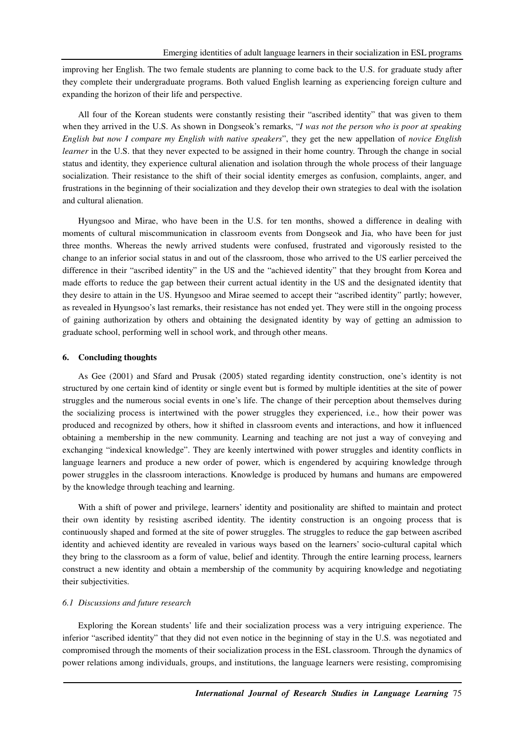improving her English. The two female students are planning to come back to the U.S. for graduate study after they complete their undergraduate programs. Both valued English learning as experiencing foreign culture and expanding the horizon of their life and perspective.

All four of the Korean students were constantly resisting their "ascribed identity" that was given to them when they arrived in the U.S. As shown in Dongseok's remarks, "*I was not the person who is poor at speaking English but now I compare my English with native speakers*", they get the new appellation of *novice English learner* in the U.S. that they never expected to be assigned in their home country. Through the change in social status and identity, they experience cultural alienation and isolation through the whole process of their language socialization. Their resistance to the shift of their social identity emerges as confusion, complaints, anger, and frustrations in the beginning of their socialization and they develop their own strategies to deal with the isolation and cultural alienation.

Hyungsoo and Mirae, who have been in the U.S. for ten months, showed a difference in dealing with moments of cultural miscommunication in classroom events from Dongseok and Jia, who have been for just three months. Whereas the newly arrived students were confused, frustrated and vigorously resisted to the change to an inferior social status in and out of the classroom, those who arrived to the US earlier perceived the difference in their "ascribed identity" in the US and the "achieved identity" that they brought from Korea and made efforts to reduce the gap between their current actual identity in the US and the designated identity that they desire to attain in the US. Hyungsoo and Mirae seemed to accept their "ascribed identity" partly; however, as revealed in Hyungsoo's last remarks, their resistance has not ended yet. They were still in the ongoing process of gaining authorization by others and obtaining the designated identity by way of getting an admission to graduate school, performing well in school work, and through other means.

#### **6. Concluding thoughts**

As Gee (2001) and Sfard and Prusak (2005) stated regarding identity construction, one's identity is not structured by one certain kind of identity or single event but is formed by multiple identities at the site of power struggles and the numerous social events in one's life. The change of their perception about themselves during the socializing process is intertwined with the power struggles they experienced, i.e., how their power was produced and recognized by others, how it shifted in classroom events and interactions, and how it influenced obtaining a membership in the new community. Learning and teaching are not just a way of conveying and exchanging "indexical knowledge". They are keenly intertwined with power struggles and identity conflicts in language learners and produce a new order of power, which is engendered by acquiring knowledge through power struggles in the classroom interactions. Knowledge is produced by humans and humans are empowered by the knowledge through teaching and learning.

With a shift of power and privilege, learners' identity and positionality are shifted to maintain and protect their own identity by resisting ascribed identity. The identity construction is an ongoing process that is continuously shaped and formed at the site of power struggles. The struggles to reduce the gap between ascribed identity and achieved identity are revealed in various ways based on the learners' socio-cultural capital which they bring to the classroom as a form of value, belief and identity. Through the entire learning process, learners construct a new identity and obtain a membership of the community by acquiring knowledge and negotiating their subjectivities.

### *6.1 Discussions and future research*

Exploring the Korean students' life and their socialization process was a very intriguing experience. The inferior "ascribed identity" that they did not even notice in the beginning of stay in the U.S. was negotiated and compromised through the moments of their socialization process in the ESL classroom. Through the dynamics of power relations among individuals, groups, and institutions, the language learners were resisting, compromising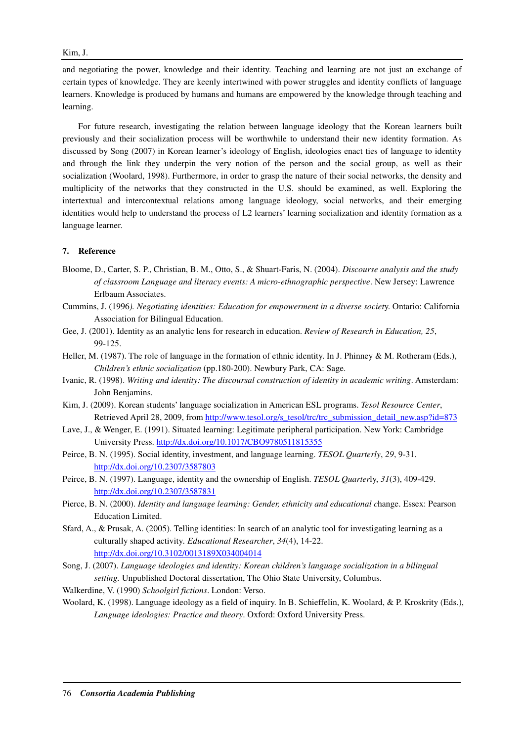and negotiating the power, knowledge and their identity. Teaching and learning are not just an exchange of certain types of knowledge. They are keenly intertwined with power struggles and identity conflicts of language learners. Knowledge is produced by humans and humans are empowered by the knowledge through teaching and learning.

For future research, investigating the relation between language ideology that the Korean learners built previously and their socialization process will be worthwhile to understand their new identity formation. As discussed by Song (2007) in Korean learner's ideology of English, ideologies enact ties of language to identity and through the link they underpin the very notion of the person and the social group, as well as their socialization (Woolard, 1998). Furthermore, in order to grasp the nature of their social networks, the density and multiplicity of the networks that they constructed in the U.S. should be examined, as well. Exploring the intertextual and intercontextual relations among language ideology, social networks, and their emerging identities would help to understand the process of L2 learners' learning socialization and identity formation as a language learner.

### **7. Reference**

- Bloome, D., Carter, S. P., Christian, B. M., Otto, S., & Shuart-Faris, N. (2004). *Discourse analysis and the study of classroom Language and literacy events: A micro-ethnographic perspective*. New Jersey: Lawrence Erlbaum Associates.
- Cummins, J. (1996*). Negotiating identities: Education for empowerment in a diverse societ*y. Ontario: California Association for Bilingual Education.
- Gee, J. (2001). Identity as an analytic lens for research in education. *Review of Research in Education, 25*, 99-125.
- Heller, M. (1987). The role of language in the formation of ethnic identity. In J. Phinney & M. Rotheram (Eds.), *Children's ethnic socialization* (pp.180-200). Newbury Park, CA: Sage.
- Ivanic, R. (1998). *Writing and identity: The discoursal construction of identity in academic writing*. Amsterdam: John Benjamins.
- Kim, J. (2009). Korean students' language socialization in American ESL programs. *Tesol Resource Center*, Retrieved April 28, 2009, from http://www.tesol.org/s\_tesol/trc/trc\_submission\_detail\_new.asp?id=873
- Lave, J., & Wenger, E. (1991). Situated learning: Legitimate peripheral participation. New York: Cambridge University Press. http://dx.doi.org/10.1017/CBO9780511815355
- Peirce, B. N. (1995). Social identity, investment, and language learning. *TESOL Quarterly*, *29*, 9-31. http://dx.doi.org/10.2307/3587803
- Peirce, B. N. (1997). Language, identity and the ownership of English. *TESOL Quarter*ly, *31*(3), 409-429. http://dx.doi.org/10.2307/3587831
- Pierce, B. N. (2000). *Identity and language learning: Gender, ethnicity and educational change. Essex: Pearson* Education Limited.
- Sfard, A., & Prusak, A. (2005). Telling identities: In search of an analytic tool for investigating learning as a culturally shaped activity*. Educational Researcher*, *34*(4), 14-22. http://dx.doi.org/10.3102/0013189X034004014
- Song, J. (2007). *Language ideologies and identity: Korean children's language socialization in a bilingual setting.* Unpublished Doctoral dissertation, The Ohio State University, Columbus.
- Walkerdine, V. (1990) *Schoolgirl fictions*. London: Verso.
- Woolard, K. (1998). Language ideology as a field of inquiry. In B. Schieffelin, K. Woolard, & P. Kroskrity (Eds.), *Language ideologies: Practice and theory*. Oxford: Oxford University Press.